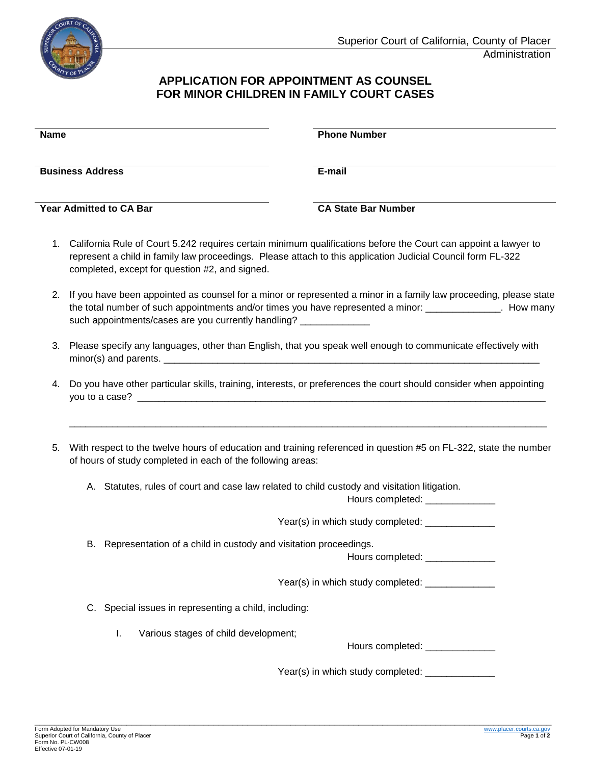

## **APPLICATION FOR APPOINTMENT AS COUNSEL FOR MINOR CHILDREN IN FAMILY COURT CASES**

| <b>Name</b>                                                                                                                                                                                                                                                                            | <b>Phone Number</b>        |
|----------------------------------------------------------------------------------------------------------------------------------------------------------------------------------------------------------------------------------------------------------------------------------------|----------------------------|
| <b>Business Address</b>                                                                                                                                                                                                                                                                | E-mail                     |
| <b>Year Admitted to CA Bar</b>                                                                                                                                                                                                                                                         | <b>CA State Bar Number</b> |
| California Rule of Court 5.242 requires certain minimum qualifications before the Court can appoint a lawyer to<br>1.<br>represent a child in family law proceedings. Please attach to this application Judicial Council form FL-322<br>completed, except for question #2, and signed. |                            |

- 2. If you have been appointed as counsel for a minor or represented a minor in a family law proceeding, please state the total number of such appointments and/or times you have represented a minor: \_\_\_\_\_\_\_\_\_\_\_\_\_\_. How many such appointments/cases are you currently handling? \_\_\_\_\_\_\_\_\_\_\_\_\_\_\_\_\_\_\_\_\_\_\_\_\_\_\_\_
- 3. Please specify any languages, other than English, that you speak well enough to communicate effectively with  $minor(s)$  and parents.  $\frac{1}{1-\frac{1}{1-\frac{1}{1-\frac{1}{1-\frac{1}{1-\frac{1}{1-\frac{1}{1-\frac{1}{1-\frac{1}{1-\frac{1}{1-\frac{1}{1-\frac{1}{1-\frac{1}{1-\frac{1}{1-\frac{1}{1-\frac{1}{1-\frac{1}{1-\frac{1}{1-\frac{1}{1-\frac{1}{1-\frac{1}{1-\frac{1}{1-\frac{1}{1-\frac{1}{1-\frac{1}{1-\frac{1}{1-\frac{1}{1-\frac{1}{1-\frac{1}{1-\frac{1}{1-\frac{1}{1-\frac{1}{1-\frac{1}{1-\frac{$
- 4. Do you have other particular skills, training, interests, or preferences the court should consider when appointing you to a case?
- 5. With respect to the twelve hours of education and training referenced in question #5 on FL-322, state the number of hours of study completed in each of the following areas:

\_\_\_\_\_\_\_\_\_\_\_\_\_\_\_\_\_\_\_\_\_\_\_\_\_\_\_\_\_\_\_\_\_\_\_\_\_\_\_\_\_\_\_\_\_\_\_\_\_\_\_\_\_\_\_\_\_\_\_\_\_\_\_\_\_\_\_\_\_\_\_\_\_\_\_\_\_\_\_\_\_\_\_\_\_\_\_\_\_

A. Statutes, rules of court and case law related to child custody and visitation litigation.

Hours completed: \_\_\_\_\_\_\_\_\_\_\_\_\_\_

Year(s) in which study completed: \_\_\_\_\_\_\_\_\_\_\_\_\_\_

B. Representation of a child in custody and visitation proceedings.

Hours completed: \_\_\_\_\_\_\_\_\_\_\_\_\_

Year(s) in which study completed: \_\_\_\_\_\_\_\_\_\_\_\_\_\_

- C. Special issues in representing a child, including:
	- I. Various stages of child development;

Hours completed:

Year(s) in which study completed: \_\_\_\_\_\_\_\_\_\_\_\_\_\_